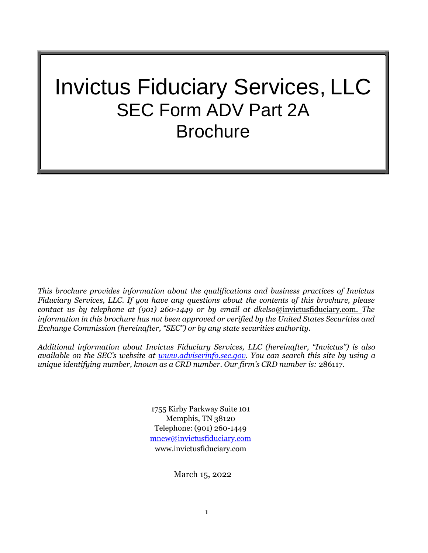# Invictus Fiduciary Services, LLC SEC Form ADV Part 2A **Brochure**

*This brochure provides information about the qualifications and business practices of Invictus Fiduciary Services, LLC. If you have any questions about the contents of this brochure, please contact us by telephone at (901) 260-1449 or by email at dkelso*[@invictusfiduciary.com.](mailto:dkelso@invictusfiduciary.com.The) *The information in this brochure has not been approved or verified by the United States Securities and Exchange Commission (hereinafter, "SEC") or by any state securities authority.*

*Additional information about Invictus Fiduciary Services, LLC (hereinafter, "Invictus") is also available on the SEC's website at [www.adviserinfo.sec.gov. Y](http://www.adviserinfo.sec.gov/)ou can search this site by using a unique identifying number, known as a CRD number. Our firm's CRD number is:* 286117.

> 1755 Kirby Parkway Suite 101 Memphis, TN 38120 Telephone: (901) 260-1449 [mnew@invictusfiduciary.com](mailto:mnew@invictusfiduciary.com) [www.invictusfiduciary.com](http://www.invictusfiduciary.com/)

> > March 15, 2022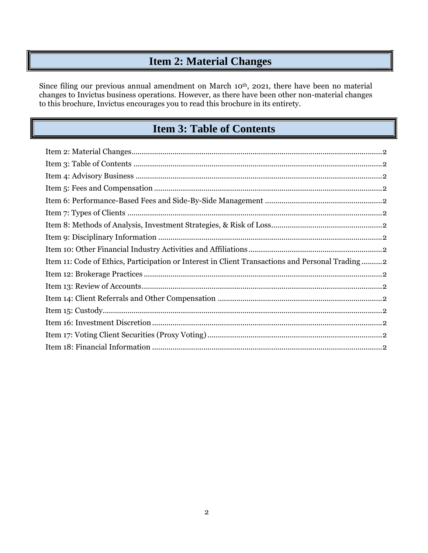# **Item 2: Material Changes**

Since filing our previous annual amendment on March 10<sup>th</sup>, 2021, there have been no material changes to Invictus business operations. However, as there have been other non-material changes to this brochure, Invictus encourages you to read this brochure in its entirety.

## **Item 3: Table of Contents**

| Item 11: Code of Ethics, Participation or Interest in Client Transactions and Personal Trading2 |
|-------------------------------------------------------------------------------------------------|
|                                                                                                 |
|                                                                                                 |
|                                                                                                 |
|                                                                                                 |
|                                                                                                 |
|                                                                                                 |
|                                                                                                 |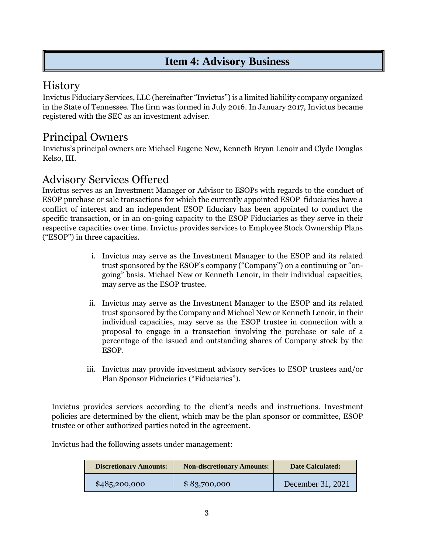## **Item 4: Advisory Business**

## **History**

Invictus Fiduciary Services, LLC (hereinafter "Invictus") is a limited liability company organized in the State of Tennessee. The firm was formed in July 2016. In January 2017, Invictus became registered with the SEC as an investment adviser.

# Principal Owners

Invictus's principal owners are Michael Eugene New, Kenneth Bryan Lenoir and Clyde Douglas Kelso, III.

# Advisory Services Offered

Invictus serves as an Investment Manager or Advisor to ESOPs with regards to the conduct of ESOP purchase or sale transactions for which the currently appointed ESOP fiduciaries have a conflict of interest and an independent ESOP fiduciary has been appointed to conduct the specific transaction, or in an on-going capacity to the ESOP Fiduciaries as they serve in their respective capacities over time. Invictus provides services to Employee Stock Ownership Plans ("ESOP") in three capacities.

- i. Invictus may serve as the Investment Manager to the ESOP and its related trust sponsored by the ESOP's company ("Company") on a continuing or "ongoing" basis. Michael New or Kenneth Lenoir, in their individual capacities, may serve as the ESOP trustee.
- ii. Invictus may serve as the Investment Manager to the ESOP and its related trust sponsored by the Company and Michael New or Kenneth Lenoir, in their individual capacities, may serve as the ESOP trustee in connection with a proposal to engage in a transaction involving the purchase or sale of a percentage of the issued and outstanding shares of Company stock by the ESOP.
- iii. Invictus may provide investment advisory services to ESOP trustees and/or Plan Sponsor Fiduciaries ("Fiduciaries").

Invictus provides services according to the client's needs and instructions. Investment policies are determined by the client, which may be the plan sponsor or committee, ESOP trustee or other authorized parties noted in the agreement.

Invictus had the following assets under management:

| <b>Discretionary Amounts:</b> | <b>Non-discretionary Amounts:</b> | <b>Date Calculated:</b> |  |
|-------------------------------|-----------------------------------|-------------------------|--|
| \$485,200,000                 | \$83,700,000                      | December 31, 2021       |  |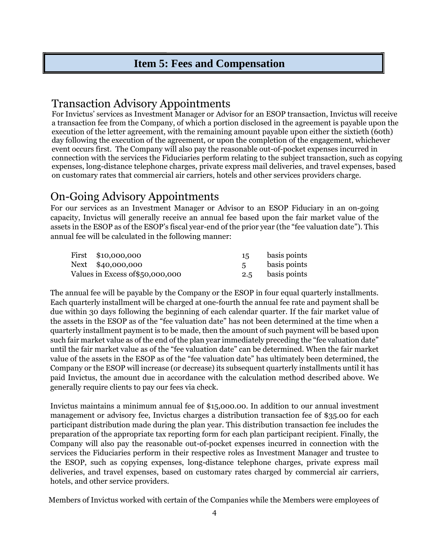#### **Item 5: Fees and Compensation**

#### Transaction Advisory Appointments

For Invictus' services as Investment Manager or Advisor for an ESOP transaction, Invictus will receive a transaction fee from the Company, of which a portion disclosed in the agreement is payable upon the execution of the letter agreement, with the remaining amount payable upon either the sixtieth (60th) day following the execution of the agreement, or upon the completion of the engagement, whichever event occurs first. The Company will also pay the reasonable out-of-pocket expenses incurred in connection with the services the Fiduciaries perform relating to the subject transaction, such as copying expenses, long-distance telephone charges, private express mail deliveries, and travel expenses, based on customary rates that commercial air carriers, hotels and other services providers charge.

# On-Going Advisory Appointments

For our services as an Investment Manager or Advisor to an ESOP Fiduciary in an on-going capacity, Invictus will generally receive an annual fee based upon the fair market value of the assets in the ESOP as of the ESOP's fiscal year-end of the prior year (the "fee valuation date"). This annual fee will be calculated in the following manner:

| First \$10,000,000               | 15 | basis points     |
|----------------------------------|----|------------------|
| Next \$40,000,000                |    | basis points     |
| Values in Excess of \$50,000,000 |    | 2.5 basis points |

The annual fee will be payable by the Company or the ESOP in four equal quarterly installments. Each quarterly installment will be charged at one-fourth the annual fee rate and payment shall be due within 30 days following the beginning of each calendar quarter. If the fair market value of the assets in the ESOP as of the "fee valuation date" has not been determined at the time when a quarterly installment payment is to be made, then the amount of such payment will be based upon such fair market value as of the end of the plan year immediately preceding the "fee valuation date" until the fair market value as of the "fee valuation date" can be determined. When the fair market value of the assets in the ESOP as of the "fee valuation date" has ultimately been determined, the Company or the ESOP will increase (or decrease) its subsequent quarterly installments until it has paid Invictus, the amount due in accordance with the calculation method described above. We generally require clients to pay our fees via check.

Invictus maintains a minimum annual fee of \$15,000.00. In addition to our annual investment management or advisory fee, Invictus charges a distribution transaction fee of \$35.00 for each participant distribution made during the plan year. This distribution transaction fee includes the preparation of the appropriate tax reporting form for each plan participant recipient. Finally, the Company will also pay the reasonable out-of-pocket expenses incurred in connection with the services the Fiduciaries perform in their respective roles as Investment Manager and trustee to the ESOP, such as copying expenses, long-distance telephone charges, private express mail deliveries, and travel expenses, based on customary rates charged by commercial air carriers, hotels, and other service providers.

Members of Invictus worked with certain of the Companies while the Members were employees of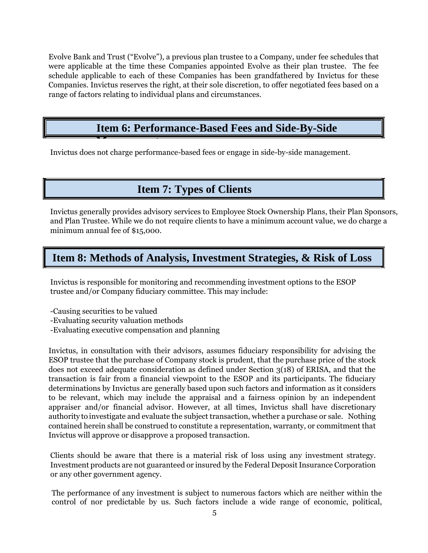Evolve Bank and Trust ("Evolve"), a previous plan trustee to a Company, under fee schedules that were applicable at the time these Companies appointed Evolve as their plan trustee. The fee schedule applicable to each of these Companies has been grandfathered by Invictus for these Companies. Invictus reserves the right, at their sole discretion, to offer negotiated fees based on a range of factors relating to individual plans and circumstances.

#### **Item 6: Performance-Based Fees and Side-By-Side**

Invictus does not charge performance-based fees or engage in side-by-side management.

#### **Item 7: Types of Clients**

Invictus generally provides advisory services to Employee Stock Ownership Plans, their Plan Sponsors, and Plan Trustee. While we do not require clients to have a minimum account value, we do charge a minimum annual fee of \$15,000.

#### **Item 8: Methods of Analysis, Investment Strategies, & Risk of Loss**

Invictus is responsible for monitoring and recommending investment options to the ESOP trustee and/or Company fiduciary committee. This may include:

- -Causing securities to be valued
- -Evaluating security valuation methods

**Management**

-Evaluating executive compensation and planning

Invictus, in consultation with their advisors, assumes fiduciary responsibility for advising the ESOP trustee that the purchase of Company stock is prudent, that the purchase price of the stock does not exceed adequate consideration as defined under Section 3(18) of ERISA, and that the transaction is fair from a financial viewpoint to the ESOP and its participants. The fiduciary determinations by Invictus are generally based upon such factors and information as it considers to be relevant, which may include the appraisal and a fairness opinion by an independent appraiser and/or financial advisor. However, at all times, Invictus shall have discretionary authority to investigate and evaluate the subject transaction, whether a purchase or sale. Nothing contained herein shall be construed to constitute a representation, warranty, or commitment that Invictus will approve or disapprove a proposed transaction.

Clients should be aware that there is a material risk of loss using any investment strategy. Investment products are not guaranteed or insured by the Federal Deposit Insurance Corporation or any other government agency.

The performance of any investment is subject to numerous factors which are neither within the control of nor predictable by us. Such factors include a wide range of economic, political,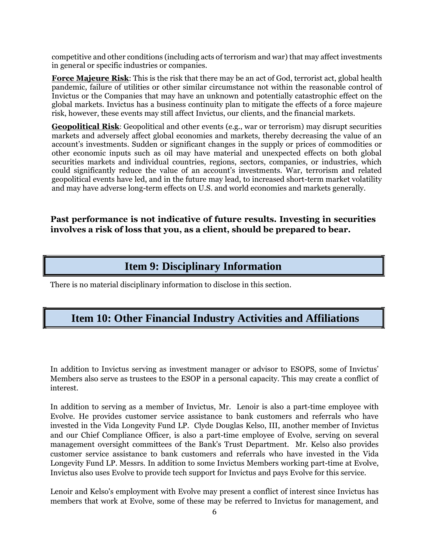competitive and other conditions (including acts of terrorism and war) that may affect investments in general or specific industries or companies.

**Force Majeure Risk**: This is the risk that there may be an act of God, terrorist act, global health pandemic, failure of utilities or other similar circumstance not within the reasonable control of Invictus or the Companies that may have an unknown and potentially catastrophic effect on the global markets. Invictus has a business continuity plan to mitigate the effects of a force majeure risk, however, these events may still affect Invictus, our clients, and the financial markets.

**Geopolitical Risk**: Geopolitical and other events (e.g., war or terrorism) may disrupt securities markets and adversely affect global economies and markets, thereby decreasing the value of an account's investments. Sudden or significant changes in the supply or prices of commodities or other economic inputs such as oil may have material and unexpected effects on both global securities markets and individual countries, regions, sectors, companies, or industries, which could significantly reduce the value of an account's investments. War, terrorism and related geopolitical events have led, and in the future may lead, to increased short-term market volatility and may have adverse long-term effects on U.S. and world economies and markets generally.

**Past performance is not indicative of future results. Investing in securities involves a risk of loss that you, as a client, should be prepared to bear.**

#### **Item 9: Disciplinary Information**

There is no material disciplinary information to disclose in this section.

#### **Item 10: Other Financial Industry Activities and Affiliations**

In addition to Invictus serving as investment manager or advisor to ESOPS, some of Invictus' Members also serve as trustees to the ESOP in a personal capacity. This may create a conflict of interest.

In addition to serving as a member of Invictus, Mr. Lenoir is also a part-time employee with Evolve. He provides customer service assistance to bank customers and referrals who have invested in the Vida Longevity Fund LP. Clyde Douglas Kelso, III, another member of Invictus and our Chief Compliance Officer, is also a part-time employee of Evolve, serving on several management oversight committees of the Bank's Trust Department. Mr. Kelso also provides customer service assistance to bank customers and referrals who have invested in the Vida Longevity Fund LP. Messrs. In addition to some Invictus Members working part-time at Evolve, Invictus also uses Evolve to provide tech support for Invictus and pays Evolve for this service.

Lenoir and Kelso's employment with Evolve may present a conflict of interest since Invictus has members that work at Evolve, some of these may be referred to Invictus for management, and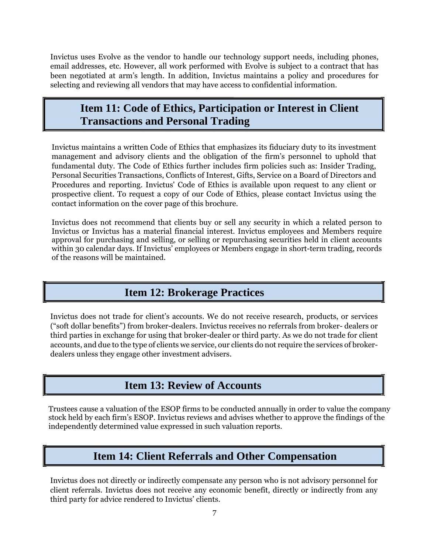Invictus uses Evolve as the vendor to handle our technology support needs, including phones, email addresses, etc. However, all work performed with Evolve is subject to a contract that has been negotiated at arm's length. In addition, Invictus maintains a policy and procedures for selecting and reviewing all vendors that may have access to confidential information.

#### **Item 11: Code of Ethics, Participation or Interest in Client Transactions and Personal Trading**

Invictus maintains a written Code of Ethics that emphasizes its fiduciary duty to its investment management and advisory clients and the obligation of the firm's personnel to uphold that fundamental duty. The Code of Ethics further includes firm policies such as: Insider Trading, Personal Securities Transactions, Conflicts of Interest, Gifts, Service on a Board of Directors and Procedures and reporting. Invictus' Code of Ethics is available upon request to any client or prospective client. To request a copy of our Code of Ethics, please contact Invictus using the contact information on the cover page of this brochure.

Invictus does not recommend that clients buy or sell any security in which a related person to Invictus or Invictus has a material financial interest. Invictus employees and Members require approval for purchasing and selling, or selling or repurchasing securities held in client accounts within 30 calendar days. If Invictus' employees or Members engage in short-term trading, records of the reasons will be maintained.

#### **Item 12: Brokerage Practices**

Invictus does not trade for client's accounts. We do not receive research, products, or services ("soft dollar benefits") from broker-dealers. Invictus receives no referrals from broker- dealers or third parties in exchange for using that broker-dealer or third party. As we do not trade for client accounts, and due to the type of clients we service, our clients do not require the services of brokerdealers unless they engage other investment advisers.

#### **Item 13: Review of Accounts**

Trustees cause a valuation of the ESOP firms to be conducted annually in order to value the company stock held by each firm's ESOP. Invictus reviews and advises whether to approve the findings of the independently determined value expressed in such valuation reports.

#### **Item 14: Client Referrals and Other Compensation**

Invictus does not directly or indirectly compensate any person who is not advisory personnel for client referrals. Invictus does not receive any economic benefit, directly or indirectly from any third party for advice rendered to Invictus' clients.